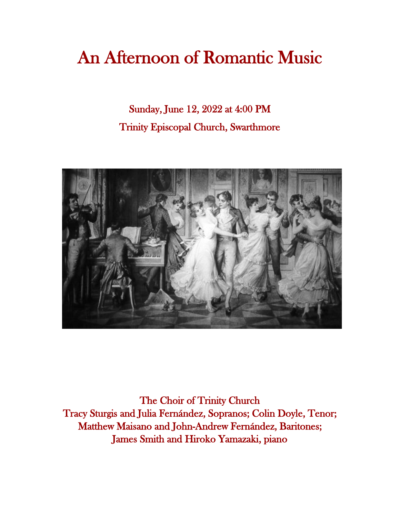# An Afternoon of Romantic Music

Sunday, June 12, 2022 at 4:00 PM Trinity Episcopal Church, Swarthmore



The Choir of Trinity Church Tracy Sturgis and Julia Fernández, Sopranos; Colin Doyle, Tenor; Matthew Maisano and John-Andrew Fernández, Baritones; James Smith and Hiroko Yamazaki, piano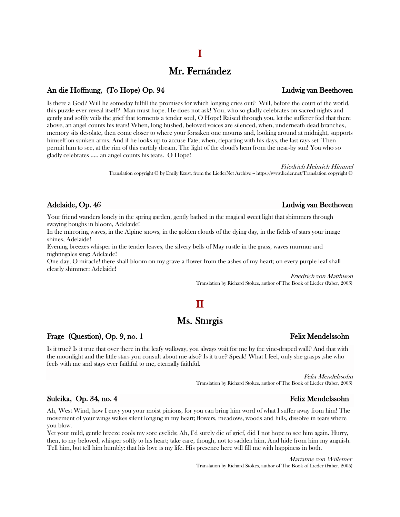# Mr. Fernández

## An die Hoffnung, (To Hope) Op. 94 Ludwig van Beethoven

Is there a God? Will he someday fulfill the promises for which longing cries out? Will, before the court of the world, this puzzle ever reveal itself? Man must hope. He does not ask! You, who so gladly celebrates on sacred nights and gently and softly veils the grief that torments a tender soul, O Hope! Raised through you, let the sufferer feel that there above, an angel counts his tears! When, long hushed, beloved voices are silenced, when, underneath dead branches, memory sits desolate, then come closer to where your forsaken one mourns and, looking around at midnight, supports himself on sunken arms. And if he looks up to accuse Fate, when, departing with his days, the last rays set: Then permit him to see, at the rim of this earthly dream, The light of the cloud's hem from the near-by sun! You who so gladly celebrates ….. an angel counts his tears. O Hope!

### Friedrich Heinrich Himmel

Translation copyright © by Emily Ezust, from the LiederNet Archive -- https://www.lieder.net/Translation copyright ©

Your friend wanders lonely in the spring garden, gently bathed in the magical sweet light that shimmers through swaying boughs in bloom, Adelaide!

In the mirroring waves, in the Alpine snows, in the golden clouds of the dying day, in the fields of stars your image shines, Adelaide!

Evening breezes whisper in the tender leaves, the silvery bells of May rustle in the grass, waves murmur and nightingales sing: Adelaide!

One day, O miracle! there shall bloom on my grave a flower from the ashes of my heart; on every purple leaf shall clearly shimmer: Adelaide!

> Friedrich von Matthison Translation by Richard Stokes, author of The Book of Lieder (Faber, 2005)

# $\mathbf I$

# Ms. Sturgis

### Frage (Question), Op. 9, no. 1 Felix Mendelssohn

Is it true? Is it true that over there in the leafy walkway, you always wait for me by the vine-draped wall? And that with the moonlight and the little stars you consult about me also? Is it true? Speak! What I feel, only she grasps ,she who feels with me and stays ever faithful to me, eternally faithful.

> Felix Mendelssohn Translation by Richard Stokes, author of The Book of Lieder (Faber, 2005)

### Suleika, Op. 34, no. 4 Felix Mendelssohn

Ah, West Wind, how I envy you your moist pinions, for you can bring him word of what I suffer away from him! The movement of your wings wakes silent longing in my heart; flowers, meadows, woods and hills, dissolve in tears where you blow.

Yet your mild, gentle breeze cools my sore eyelids; Ah, I'd surely die of grief, did I not hope to see him again. Hurry, then, to my beloved, whisper softly to his heart; take care, though, not to sadden him, And hide from him my anguish. Tell him, but tell him humbly: that his love is my life. His presence here will fill me with happiness in both.

> Marianne von Willemer Translation by Richard Stokes, author of The Book of Lieder (Faber, 2005)

# Adelaide, Op. 46 and 2012 12:00 and 2012 12:00 and 2012 12:00 and 2012 12:00 and 2012 12:00 and 2012 12:00 and 2012 12:00 and 2012 12:00 and 2012 12:00 and 2012 12:00 and 2012 12:00 and 2012 12:00 and 2012 12:00 and 2012 1

# I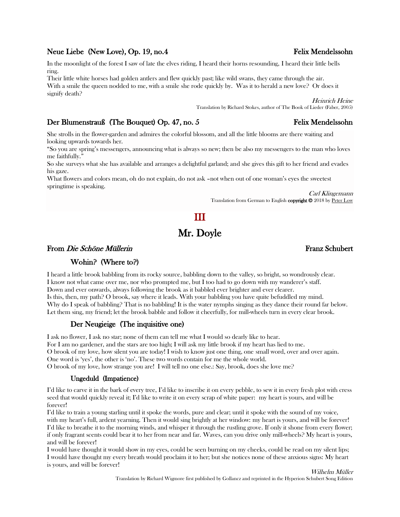### Neue Liebe (New Love), Op. 19, no.4 Felix Mendelssohn

In the moonlight of the forest I saw of late the elves riding, I heard their horns resounding, I heard their little bells ring.

Their little white horses had golden antlers and flew quickly past; like wild swans, they came through the air. With a smile the queen nodded to me, with a smile she rode quickly by. Was it to herald a new love? Or does it signify death?

> Heinrich Heine Translation by Richard Stokes, author of The Book of Lieder (Faber, 2005)

# Der Blumenstrauß (The Bouquet) Op. 47, no. 5 Felix Mendelssohn

She strolls in the flower-garden and admires the colorful blossom, and all the little blooms are there waiting and looking upwards towards her.

"So you are spring's messengers, announcing what is always so new; then be also my messengers to the man who loves me faithfully."

So she surveys what she has available and arranges a delightful garland; and she gives this gift to her friend and evades his gaze.

What flowers and colors mean, oh do not explain, do not ask –not when out of one woman's eyes the sweetest springtime is speaking.

> Carl Klingemann Translation from German to English copyright <sup>©</sup> 2018 by Peter Low

# III Mr. Doyle

### From *Die Schöne Müllerin* Franz Schubert

### Wohin? (Where to?)

I heard a little brook babbling from its rocky source, babbling down to the valley, so bright, so wondrously clear. I know not what came over me, nor who prompted me, but I too had to go down with my wanderer's staff. Down and ever onwards, always following the brook as it babbled ever brighter and ever clearer. Is this, then, my path? O brook, say where it leads. With your babbling you have quite befuddled my mind. Why do I speak of babbling? That is no babbling! It is the water nymphs singing as they dance their round far below. Let them sing, my friend; let the brook babble and follow it cheerfully, for mill-wheels turn in every clear brook.

### Der Neugieige (The inquisitive one)

I ask no flower, I ask no star; none of them can tell me what I would so dearly like to hear.

For I am no gardener, and the stars are too high; I will ask my little brook if my heart has lied to me. O brook of my love, how silent you are today! I wish to know just one thing, one small word, over and over again. One word is 'yes', the other is 'no'. These two words contain for me the whole world.

O brook of my love, how strange you are! I will tell no one else.: Say, brook, does she love me?

### Ungeduld (Impatience)

I'd like to carve it in the bark of every tree, I'd like to inscribe it on every pebble, to sew it in every fresh plot with cress seed that would quickly reveal it; I'd like to write it on every scrap of white paper: my heart is yours, and will be forever!

I'd like to train a young starling until it spoke the words, pure and clear; until it spoke with the sound of my voice, with my heart's full, ardent yearning. Then it would sing brightly at her window: my heart is yours, and will be forever! I'd like to breathe it to the morning winds, and whisper it through the rustling grove. If only it shone from every flower; if only fragrant scents could bear it to her from near and far. Waves, can you drive only mill-wheels? My heart is yours, and will be forever!

I would have thought it would show in my eyes, could be seen burning on my cheeks, could be read on my silent lips; I would have thought my every breath would proclaim it to her; but she notices none of these anxious signs: My heart is yours, and will be forever!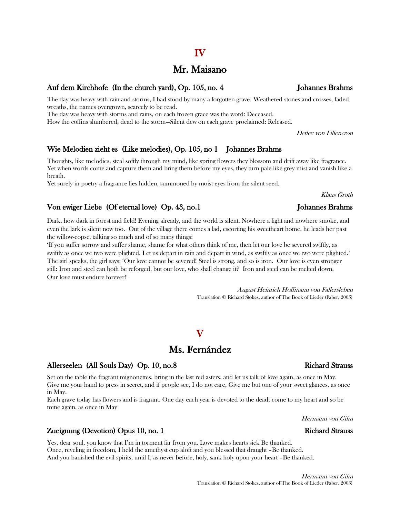# Mr. Maisano

### Auf dem Kirchhofe (In the church yard), Op. 105, no. 4 Johannes Brahms

The day was heavy with rain and storms, I had stood by many a forgotten grave. Weathered stones and crosses, faded wreaths, the names overgrown, scarcely to be read.

The day was heavy with storms and rains, on each frozen grace was the word: Deceased.

How the coffins slumbered, dead to the storm—Silent dew on each grave proclaimed: Released.

Detlev von Liliencron

## Wie Melodien zieht es (Like melodies), Op. 105, no 1 Johannes Brahms

Thoughts, like melodies, steal softly through my mind, like spring flowers they blossom and drift away like fragrance. Yet when words come and capture them and bring them before my eyes, they turn pale like grey mist and vanish like a breath.

Yet surely in poetry a fragrance lies hidden, summoned by moist eyes from the silent seed.

## Von ewiger Liebe (Of eternal love) Op. 43, no.1 Johannes Brahms

Dark, how dark in forest and field! Evening already, and the world is silent. Nowhere a light and nowhere smoke, and even the lark is silent now too. Out of the village there comes a lad, escorting his sweetheart home, he leads her past the willow-copse, talking so much and of so many things:

'If you suffer sorrow and suffer shame, shame for what others think of me, then let our love be severed swiftly, as swiftly as once we two were plighted. Let us depart in rain and depart in wind, as swiftly as once we two were plighted.' The girl speaks, the girl says: 'Our love cannot be severed! Steel is strong, and so is iron. Our love is even stronger still: Iron and steel can both be reforged, but our love, who shall change it? Iron and steel can be melted down, Our love must endure forever!'

> August Heinrich Hoffmann von Fallersleben Translation © Richard Stokes, author of The Book of Lieder (Faber, 2005)

# Ms. Fernández

 $\mathbf{V}$ 

### Allerseelen (All Souls Day) Op. 10, no.8 Richard Strauss Richard Strauss

Set on the table the fragrant mignonettes, bring in the last red asters, and let us talk of love again, as once in May. Give me your hand to press in secret, and if people see, I do not care, Give me but one of your sweet glances, as once in May.

Each grave today has flowers and is fragrant. One day each year is devoted to the dead; come to my heart and so be mine again, as once in May

Hermann von Gilm

# Zueignung (Devotion) Opus 10, no. 1 Richard Strauss

Yes, dear soul, you know that I'm in torment far from you. Love makes hearts sick Be thanked. Once, reveling in freedom, I held the amethyst cup aloft and you blessed that draught –Be thanked. And you banished the evil spirits, until I, as never before, holy, sank holy upon your heart –Be thanked.

Klaus Groth

# IV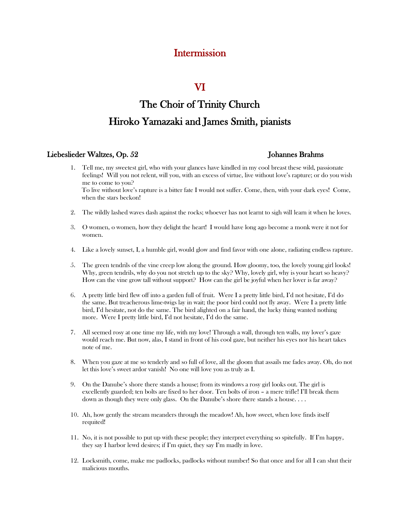# Intermission

# VI

# The Choir of Trinity Church Hiroko Yamazaki and James Smith, pianists

### Liebeslieder Waltzes, Op. 52 Johannes Brahms

- 1. Tell me, my sweetest girl, who with your glances have kindled in my cool breast these wild, passionate feelings! Will you not relent, will you, with an excess of virtue, live without love's rapture; or do you wish me to come to you? To live without love's rapture is a bitter fate I would not suffer. Come, then, with your dark eyes! Come, when the stars beckon!
- 2. The wildly lashed waves dash against the rocks; whoever has not learnt to sigh will learn it when he loves.
- 3. O women, o women, how they delight the heart! I would have long ago become a monk were it not for women.
- 4. Like a lovely sunset, I, a humble girl, would glow and find favor with one alone, radiating endless rapture.
- 5. The green tendrils of the vine creep low along the ground. How gloomy, too, the lovely young girl looks! Why, green tendrils, why do you not stretch up to the sky? Why, lovely girl, why is your heart so heavy? How can the vine grow tall without support? How can the girl be joyful when her lover is far away?
- 6. A pretty little bird flew off into a garden full of fruit. Were I a pretty little bird, I'd not hesitate, I'd do the same. But treacherous lime-twigs lay in wait; the poor bird could not fly away. Were I a pretty little bird, I'd hesitate, not do the same. The bird alighted on a fair hand, the lucky thing wanted nothing more. Were I pretty little bird, I'd not hesitate, I'd do the same.
- 7. All seemed rosy at one time my life, with my love! Through a wall, through ten walls, my lover's gaze would reach me. But now, alas, I stand in front of his cool gaze, but neither his eyes nor his heart takes note of me.
- 8. When you gaze at me so tenderly and so full of love, all the gloom that assails me fades away. Oh, do not let this love's sweet ardor vanish! No one will love you as truly as I.
- 9. On the Danube's shore there stands a house; from its windows a rosy girl looks out. The girl is excellently guarded; ten bolts are fixed to her door. Ten bolts of iron – a mere trifle! I'll break them down as though they were only glass. On the Danube's shore there stands a house. . . .
- 10. Ah, how gently the stream meanders through the meadow! Ah, how sweet, when love finds itself requited!
- 11. No, it is not possible to put up with these people; they interpret everything so spitefully. If I'm happy, they say I harbor lewd desires; if I'm quiet, they say I'm madly in love.
- 12. Locksmith, come, make me padlocks, padlocks without number! So that once and for all I can shut their malicious mouths.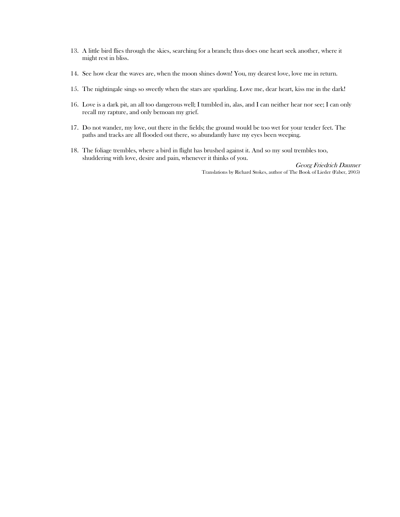- 13. A little bird flies through the skies, searching for a branch; thus does one heart seek another, where it might rest in bliss.
- 14. See how clear the waves are, when the moon shines down! You, my dearest love, love me in return.
- 15. The nightingale sings so sweetly when the stars are sparkling. Love me, dear heart, kiss me in the dark!
- 16. Love is a dark pit, an all too dangerous well; I tumbled in, alas, and I can neither hear nor see; I can only recall my rapture, and only bemoan my grief.
- 17. Do not wander, my love, out there in the fields; the ground would be too wet for your tender feet. The paths and tracks are all flooded out there, so abundantly have my eyes been weeping.
- 18. The foliage trembles, where a bird in flight has brushed against it. And so my soul trembles too, shuddering with love, desire and pain, whenever it thinks of you.

Georg Friedrich Daumer Translations by Richard Stokes, author of The Book of Lieder (Faber, 2005)